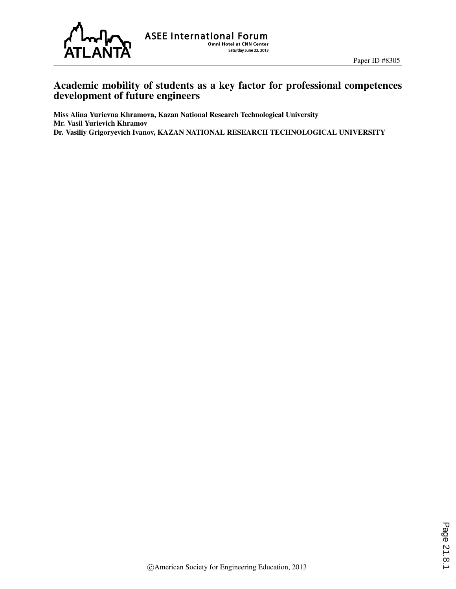

ASEE International Forum Saturday June 22, 2013

## Academic mobility of students as a key factor for professional competences development of future engineers

Miss Alina Yurievna Khramova, Kazan National Research Technological University Mr. Vasil Yurievich Khramov Dr. Vasiliy Grigoryevich Ivanov, KAZAN NATIONAL RESEARCH TECHNOLOGICAL UNIVERSITY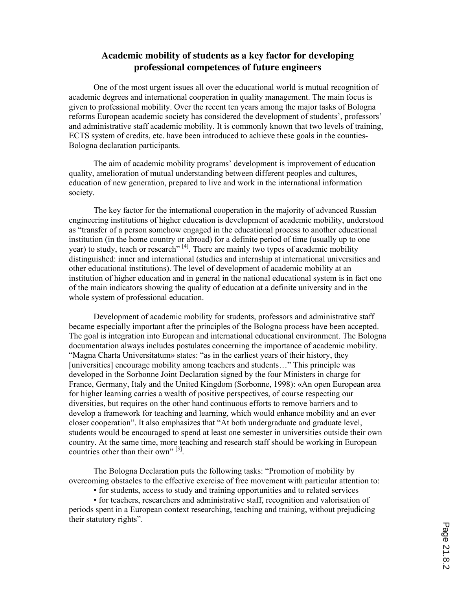## **Academic mobility of students as a key factor for developing professional competences of future engineers**

One of the most urgent issues all over the educational world is mutual recognition of academic degrees and international cooperation in quality management. The main focus is given to professional mobility. Over the recent ten years among the major tasks of Bologna reforms European academic society has considered the development of students', professors' and administrative staff academic mobility. It is commonly known that two levels of training, ECTS system of credits, etc. have been introduced to achieve these goals in the counties-Bologna declaration participants.

The aim of academic mobility programs' development is improvement of education quality, amelioration of mutual understanding between different peoples and cultures, education of new generation, prepared to live and work in the international information society.

The key factor for the international cooperation in the majority of advanced Russian engineering institutions of higher education is development of academic mobility, understood as "transfer of a person somehow engaged in the educational process to another educational institution (in the home country or abroad) for a definite period of time (usually up to one year) to study, teach or research<sup>" [4]</sup>. There are mainly two types of academic mobility distinguished: inner and international (studies and internship at international universities and other educational institutions). The level of development of academic mobility at an institution of higher education and in general in the national educational system is in fact one of the main indicators showing the quality of education at a definite university and in the whole system of professional education.

Development of academic mobility for students, professors and administrative staff became especially important after the principles of the Bologna process have been accepted. The goal is integration into European and international educational environment. The Bologna documentation always includes postulates concerning the importance of academic mobility. "Magna Charta Universitatum» states: "as in the earliest years of their history, they [universities] encourage mobility among teachers and students…" This principle was developed in the Sorbonne Joint Declaration signed by the four Ministers in charge for France, Germany, Italy and the United Kingdom (Sorbonne, 1998): «An open European area for higher learning carries a wealth of positive perspectives, of course respecting our diversities, but requires on the other hand continuous efforts to remove barriers and to develop a framework for teaching and learning, which would enhance mobility and an ever closer cooperation". It also emphasizes that "At both undergraduate and graduate level, students would be encouraged to spend at least one semester in universities outside their own country. At the same time, more teaching and research staff should be working in European countries other than their own"<sup>[3]</sup>.

The Bologna Declaration puts the following tasks: "Promotion of mobility by overcoming obstacles to the effective exercise of free movement with particular attention to:

• for students, access to study and training opportunities and to related services

• for teachers, researchers and administrative staff, recognition and valorisation of periods spent in a European context researching, teaching and training, without prejudicing their statutory rights".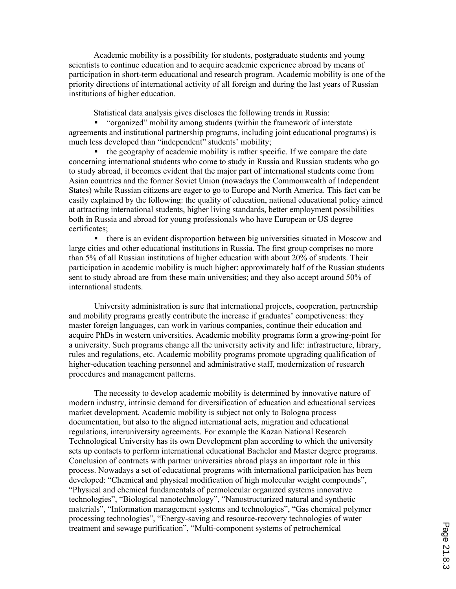Academic mobility is a possibility for students, postgraduate students and young scientists to continue education and to acquire academic experience abroad by means of participation in short-term educational and research program. Academic mobility is one of the priority directions of international activity of all foreign and during the last years of Russian institutions of higher education.

Statistical data analysis gives discloses the following trends in Russia:

§ "organized" mobility among students (within the framework of interstate agreements and institutional partnership programs, including joint educational programs) is much less developed than "independent" students' mobility;

 $\bullet$  the geography of academic mobility is rather specific. If we compare the date concerning international students who come to study in Russia and Russian students who go to study abroad, it becomes evident that the major part of international students come from Asian countries and the former Soviet Union (nowadays the Commonwealth of Independent States) while Russian citizens are eager to go to Europe and North America. This fact can be easily explained by the following: the quality of education, national educational policy aimed at attracting international students, higher living standards, better employment possibilities both in Russia and abroad for young professionals who have European or US degree certificates;

■ there is an evident disproportion between big universities situated in Moscow and large cities and other educational institutions in Russia. The first group comprises no more than 5% of all Russian institutions of higher education with about 20% of students. Their participation in academic mobility is much higher: approximately half of the Russian students sent to study abroad are from these main universities; and they also accept around 50% of international students.

University administration is sure that international projects, cooperation, partnership and mobility programs greatly contribute the increase if graduates' competiveness: they master foreign languages, can work in various companies, continue their education and acquire PhDs in western universities. Academic mobility programs form a growing-point for a university. Such programs change all the university activity and life: infrastructure, library, rules and regulations, etc. Academic mobility programs promote upgrading qualification of higher-education teaching personnel and administrative staff, modernization of research procedures and management patterns.

The necessity to develop academic mobility is determined by innovative nature of modern industry, intrinsic demand for diversification of education and educational services market development. Academic mobility is subject not only to Bologna process documentation, but also to the aligned international acts, migration and educational regulations, interuniversity agreements. For example the Kazan National Research Technological University has its own Development plan according to which the university sets up contacts to perform international educational Bachelor and Master degree programs. Conclusion of contracts with partner universities abroad plays an important role in this process. Nowadays a set of educational programs with international participation has been developed: "Chemical and physical modification of high molecular weight compounds", "Physical and chemical fundamentals of permolecular organized systems innovative technologies", "Biological nanotechnology", "Nanostructurized natural and synthetic materials", "Information management systems and technologies", "Gas chemical polymer processing technologies", "Energy-saving and resource-recovery technologies of water treatment and sewage purification", "Multi-component systems of petrochemical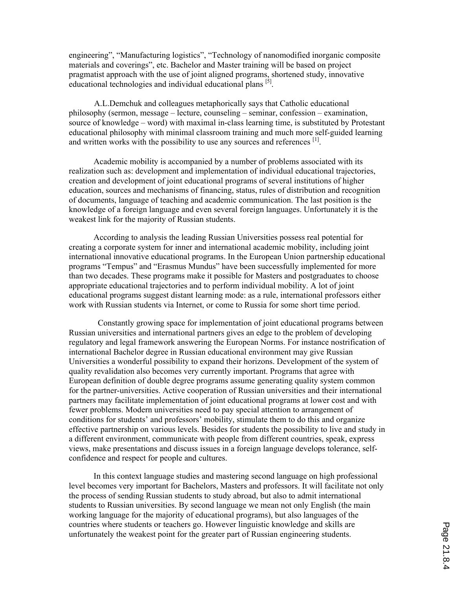engineering", "Manufacturing logistics", "Technology of nanomodified inorganic composite materials and coverings", etc. Bachelor and Master training will be based on project pragmatist approach with the use of joint aligned programs, shortened study, innovative educational technologies and individual educational plans  $\begin{bmatrix} 5 \end{bmatrix}$ .

A.L.Demchuk and colleagues metaphorically says that Catholic educational philosophy (sermon, message – lecture, counseling – seminar, confession – examination, source of knowledge – word) with maximal in-class learning time, is substituted by Protestant educational philosophy with minimal classroom training and much more self-guided learning and written works with the possibility to use any sources and references [1].

Academic mobility is accompanied by a number of problems associated with its realization such as: development and implementation of individual educational trajectories, creation and development of joint educational programs of several institutions of higher education, sources and mechanisms of financing, status, rules of distribution and recognition of documents, language of teaching and academic communication. The last position is the knowledge of a foreign language and even several foreign languages. Unfortunately it is the weakest link for the majority of Russian students.

According to analysis the leading Russian Universities possess real potential for creating a corporate system for inner and international academic mobility, including joint international innovative educational programs. In the European Union partnership educational programs "Tempus" and "Erasmus Mundus" have been successfully implemented for more than two decades. These programs make it possible for Masters and postgraduates to choose appropriate educational trajectories and to perform individual mobility. A lot of joint educational programs suggest distant learning mode: as a rule, international professors either work with Russian students via Internet, or come to Russia for some short time period.

 Constantly growing space for implementation of joint educational programs between Russian universities and international partners gives an edge to the problem of developing regulatory and legal framework answering the European Norms. For instance nostrification of international Bachelor degree in Russian educational environment may give Russian Universities a wonderful possibility to expand their horizons. Development of the system of quality revalidation also becomes very currently important. Programs that agree with European definition of double degree programs assume generating quality system common for the partner-universities. Active cooperation of Russian universities and their international partners may facilitate implementation of joint educational programs at lower cost and with fewer problems. Modern universities need to pay special attention to arrangement of conditions for students' and professors' mobility, stimulate them to do this and organize effective partnership on various levels. Besides for students the possibility to live and study in a different environment, communicate with people from different countries, speak, express views, make presentations and discuss issues in a foreign language develops tolerance, selfconfidence and respect for people and cultures.

In this context language studies and mastering second language on high professional level becomes very important for Bachelors, Masters and professors. It will facilitate not only the process of sending Russian students to study abroad, but also to admit international students to Russian universities. By second language we mean not only English (the main working language for the majority of educational programs), but also languages of the countries where students or teachers go. However linguistic knowledge and skills are unfortunately the weakest point for the greater part of Russian engineering students.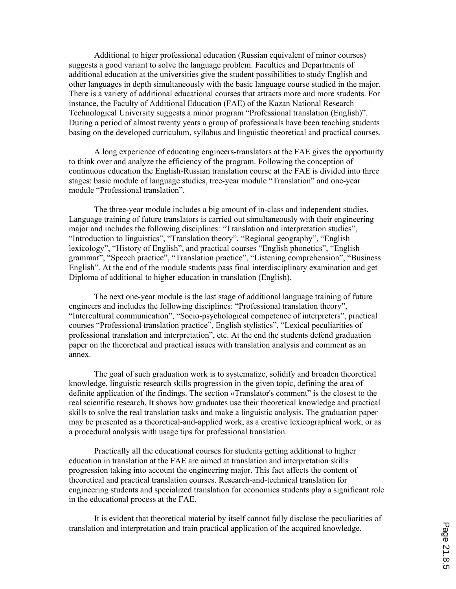Additional to higer professional education (Russian equivalent of minor courses) suggests a good variant to solve the language problem. Faculties and Departments of additional education at the universities give the student possibilities to study English and other languages in depth simultaneously with the basic language course studied in the major. There is a variety of additional educational courses that attracts more and more students. For instance, the Faculty of Additional Education (FAE) of the Kazan National Research Technological University suggests a minor program "Professional translation (English)". During a period of almost twenty years a group of professionals have been teaching students basing on the developed curriculum, syllabus and linguistic theoretical and practical courses.

A long experience of educating engineers-translators at the FAE gives the opportunity to think over and analyze the efficiency of the program. Following the conception of continuous education the English-Russian translation course at the FAE is divided into three stages: basic module of language studies, tree-year module "Translation" and one-year module "Professional translation".

The three-year module includes a big amount of in-class and independent studies. Language training of future translators is carried out simultaneously with their engineering major and includes the following disciplines: "Translation and interpretation studies", "Introduction to linguistics", "Translation theory", "Regional geography", "English lexicology", "History of English", and practical courses "English phonetics", "English grammar", "Speech practice", "Translation practice", "Listening comprehension", "Business English". At the end of the module students pass final interdisciplinary examination and get Diploma of additional to higher education in translation (English).

The next one-year module is the last stage of additional language training of future engineers and includes the following disciplines: "Professional translation theory", "Intercultural communication", "Socio-psychological competence of interpreters", practical courses "Professional translation practice", English stylistics", "Lexical peculiarities of professional translation and interpretation", etc. At the end the students defend graduation paper on the theoretical and practical issues with translation analysis and comment as an annex.

The goal of such graduation work is to systematize, solidify and broaden theoretical knowledge, linguistic research skills progression in the given topic, defining the area of definite application of the findings. The section «Translator's comment" is the closest to the real scientific research. It shows how graduates use their theoretical knowledge and practical skills to solve the real translation tasks and make a linguistic analysis. The graduation paper may be presented as a theoretical-and-applied work, as a creative lexicographical work, or as a procedural analysis with usage tips for professional translation.

Practically all the educational courses for students getting additional to higher education in translation at the FAE are aimed at translation and interpretation skills progression taking into account the engineering major. This fact affects the content of theoretical and practical translation courses. Research-and-technical translation for engineering students and specialized translation for economics students play a significant role in the educational process at the FAE.

It is evident that theoretical material by itself cannot fully disclose the peculiarities of translation and interpretation and train practical application of the acquired knowledge.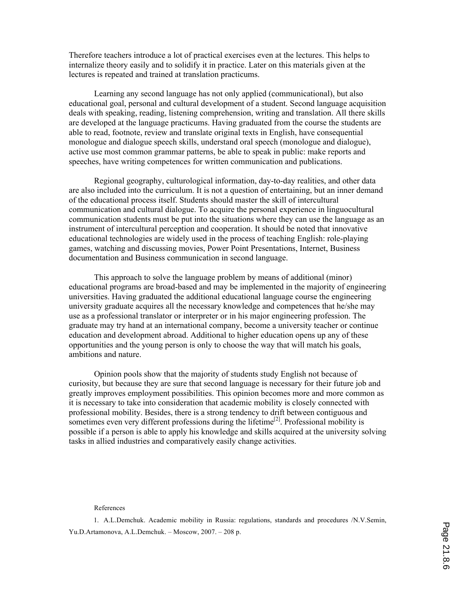Therefore teachers introduce a lot of practical exercises even at the lectures. This helps to internalize theory easily and to solidify it in practice. Later on this materials given at the lectures is repeated and trained at translation practicums.

Learning any second language has not only applied (communicational), but also educational goal, personal and cultural development of a student. Second language acquisition deals with speaking, reading, listening comprehension, writing and translation. All there skills are developed at the language practicums. Having graduated from the course the students are able to read, footnote, review and translate original texts in English, have consequential monologue and dialogue speech skills, understand oral speech (monologue and dialogue), active use most common grammar patterns, be able to speak in public: make reports and speeches, have writing competences for written communication and publications.

Regional geography, culturological information, day-to-day realities, and other data are also included into the curriculum. It is not a question of entertaining, but an inner demand of the educational process itself. Students should master the skill of intercultural communication and cultural dialogue. To acquire the personal experience in linguocultural communication students must be put into the situations where they can use the language as an instrument of intercultural perception and cooperation. It should be noted that innovative educational technologies are widely used in the process of teaching English: role-playing games, watching and discussing movies, Power Point Presentations, Internet, Business documentation and Business communication in second language.

This approach to solve the language problem by means of additional (minor) educational programs are broad-based and may be implemented in the majority of engineering universities. Having graduated the additional educational language course the engineering university graduate acquires all the necessary knowledge and competences that he/she may use as a professional translator or interpreter or in his major engineering profession. The graduate may try hand at an international company, become a university teacher or continue education and development abroad. Additional to higher education opens up any of these opportunities and the young person is only to choose the way that will match his goals, ambitions and nature.

Opinion pools show that the majority of students study English not because of curiosity, but because they are sure that second language is necessary for their future job and greatly improves employment possibilities. This opinion becomes more and more common as it is necessary to take into consideration that academic mobility is closely connected with professional mobility. Besides, there is a strong tendency to drift between contiguous and sometimes even very different professions during the lifetime<sup>[2]</sup>. Professional mobility is possible if a person is able to apply his knowledge and skills acquired at the university solving tasks in allied industries and comparatively easily change activities.

## References

1. A.L.Demchuk. Academic mobility in Russia: regulations, standards and procedures /N.V.Semin, Yu.D.Artamonova, A.L.Demchuk. – Moscow, 2007. – 208 p.